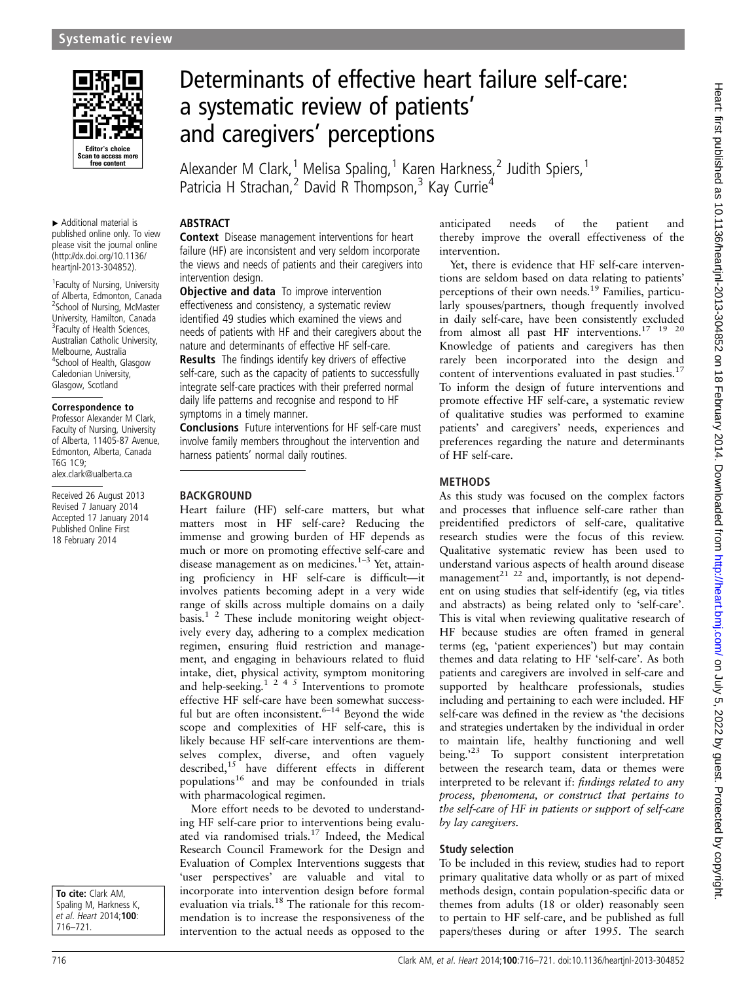

▸ Additional material is published online only. To view please visit the journal online [\(http://dx.doi.org/10.1136/](http://dx.doi.org/10.1136/heartjnl-2013-304852) [heartjnl-2013-304852](http://dx.doi.org/10.1136/heartjnl-2013-304852)). <sup>1</sup> Faculty of Nursing, University of Alberta, Edmonton, Canada 2 School of Nursing, McMaster University, Hamilton, Canada <sup>3</sup> Faculty of Health Sciences, Australian Catholic University, Melbourne, Australia <sup>4</sup>School of Health, Glasgow Caledonian University, Glasgow, Scotland Correspondence to Professor Alexander M Clark, Faculty of Nursing, University of Alberta, 11405-87 Avenue, Edmonton, Alberta, Canada

# Determinants of effective heart failure self-care: a systematic review of patients' and caregivers' perceptions

Alexander M Clark,<sup>1</sup> Melisa Spaling,<sup>1</sup> Karen Harkness,<sup>2</sup> Judith Spiers,<sup>1</sup> Patricia H Strachan,<sup>2</sup> David R Thompson,<sup>3</sup> Kay Currie<sup>4</sup>

# **ABSTRACT**

Context Disease management interventions for heart failure (HF) are inconsistent and very seldom incorporate the views and needs of patients and their caregivers into intervention design.

Objective and data To improve intervention effectiveness and consistency, a systematic review identified 49 studies which examined the views and needs of patients with HF and their caregivers about the nature and determinants of effective HF self-care. Results The findings identify key drivers of effective self-care, such as the capacity of patients to successfully integrate self-care practices with their preferred normal daily life patterns and recognise and respond to HF symptoms in a timely manner.

Conclusions Future interventions for HF self-care must involve family members throughout the intervention and harness patients' normal daily routines.

# alex.clark@ualberta.ca

Received 26 August 2013 Revised 7 January 2014 Accepted 17 January 2014 Published Online First 18 February 2014

T6G 1C9;

To cite: Clark AM, Spaling M, Harkness K, et al. Heart 2014;100: 716–721.

#### BACKGROUND

Heart failure (HF) self-care matters, but what matters most in HF self-care? Reducing the immense and growing burden of HF depends as much or more on promoting effective self-care and disease management as on medicines. $1-3$  Yet, attaining proficiency in HF self-care is difficult—it involves patients becoming adept in a very wide range of skills across multiple domains on a daily basis.<sup>1 2</sup> These include monitoring weight objectively every day, adhering to a complex medication regimen, ensuring fluid restriction and management, and engaging in behaviours related to fluid intake, diet, physical activity, symptom monitoring and help-seeking.<sup>1245</sup> Interventions to promote effective HF self-care have been somewhat successful but are often inconsistent. $6-14$  Beyond the wide scope and complexities of HF self-care, this is likely because HF self-care interventions are themselves complex, diverse, and often vaguely described,15 have different effects in different populations<sup>16</sup> and may be confounded in trials with pharmacological regimen.

More effort needs to be devoted to understanding HF self-care prior to interventions being evaluated via randomised trials.<sup>17</sup> Indeed, the Medical Research Council Framework for the Design and Evaluation of Complex Interventions suggests that 'user perspectives' are valuable and vital to incorporate into intervention design before formal evaluation via trials.<sup>18</sup> The rationale for this recommendation is to increase the responsiveness of the intervention to the actual needs as opposed to the anticipated needs of the patient and thereby improve the overall effectiveness of the intervention.

Yet, there is evidence that HF self-care interventions are seldom based on data relating to patients' perceptions of their own needs.<sup>19</sup> Families, particularly spouses/partners, though frequently involved in daily self-care, have been consistently excluded from almost all past HF interventions.17 19 20 Knowledge of patients and caregivers has then rarely been incorporated into the design and content of interventions evaluated in past studies.<sup>17</sup> To inform the design of future interventions and promote effective HF self-care, a systematic review of qualitative studies was performed to examine patients' and caregivers' needs, experiences and preferences regarding the nature and determinants of HF self-care.

# METHODS

As this study was focused on the complex factors and processes that influence self-care rather than preidentified predictors of self-care, qualitative research studies were the focus of this review. Qualitative systematic review has been used to understand various aspects of health around disease management<sup>21</sup> <sup>22</sup> and, importantly, is not dependent on using studies that self-identify (eg, via titles and abstracts) as being related only to 'self-care'. This is vital when reviewing qualitative research of HF because studies are often framed in general terms (eg, 'patient experiences') but may contain themes and data relating to HF 'self-care'. As both patients and caregivers are involved in self-care and supported by healthcare professionals, studies including and pertaining to each were included. HF self-care was defined in the review as 'the decisions and strategies undertaken by the individual in order to maintain life, healthy functioning and well being.' <sup>23</sup> To support consistent interpretation between the research team, data or themes were interpreted to be relevant if: findings related to any process, phenomena, or construct that pertains to the self-care of HF in patients or support of self-care by lay caregivers.

# Study selection

To be included in this review, studies had to report primary qualitative data wholly or as part of mixed methods design, contain population-specific data or themes from adults (18 or older) reasonably seen to pertain to HF self-care, and be published as full papers/theses during or after 1995. The search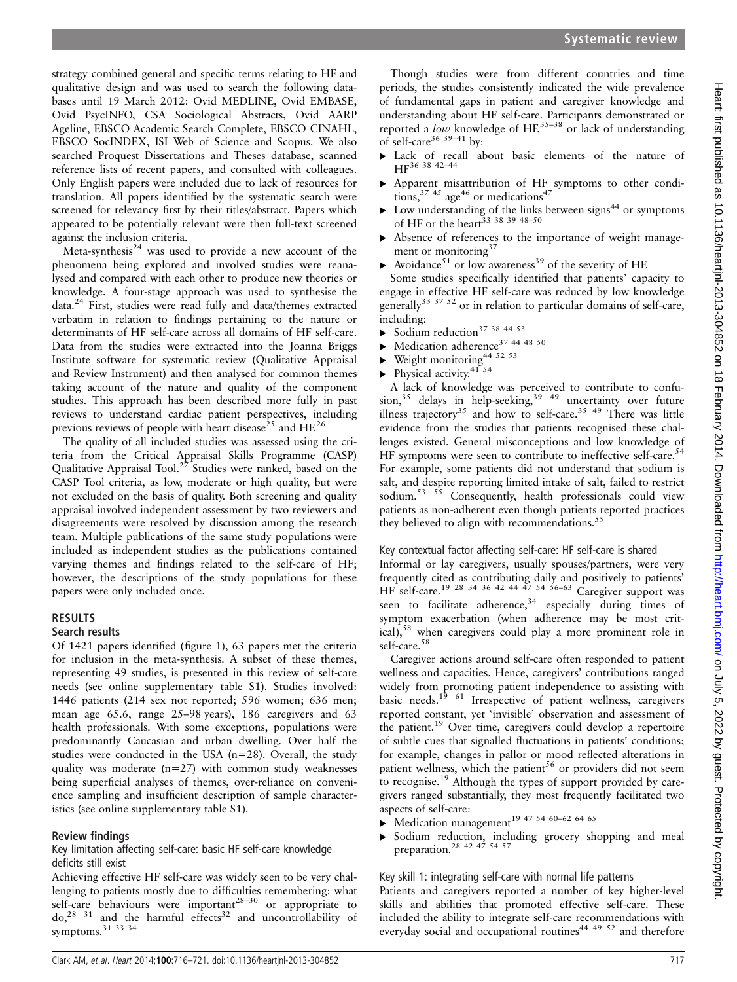strategy combined general and specific terms relating to HF and qualitative design and was used to search the following databases until 19 March 2012: Ovid MEDLINE, Ovid EMBASE, Ovid PsycINFO, CSA Sociological Abstracts, Ovid AARP Ageline, EBSCO Academic Search Complete, EBSCO CINAHL, EBSCO SocINDEX, ISI Web of Science and Scopus. We also searched Proquest Dissertations and Theses database, scanned reference lists of recent papers, and consulted with colleagues. Only English papers were included due to lack of resources for translation. All papers identified by the systematic search were screened for relevancy first by their titles/abstract. Papers which appeared to be potentially relevant were then full-text screened against the inclusion criteria.

Meta-synthesis $24$  was used to provide a new account of the phenomena being explored and involved studies were reanalysed and compared with each other to produce new theories or knowledge. A four-stage approach was used to synthesise the data.<sup>24</sup> First, studies were read fully and data/themes extracted verbatim in relation to findings pertaining to the nature or determinants of HF self-care across all domains of HF self-care. Data from the studies were extracted into the Joanna Briggs Institute software for systematic review (Qualitative Appraisal and Review Instrument) and then analysed for common themes taking account of the nature and quality of the component studies. This approach has been described more fully in past reviews to understand cardiac patient perspectives, including previous reviews of people with heart disease<sup>25</sup> and HF.<sup>26</sup>

The quality of all included studies was assessed using the criteria from the Critical Appraisal Skills Programme (CASP) Qualitative Appraisal Tool.<sup>27</sup> Studies were ranked, based on the CASP Tool criteria, as low, moderate or high quality, but were not excluded on the basis of quality. Both screening and quality appraisal involved independent assessment by two reviewers and disagreements were resolved by discussion among the research team. Multiple publications of the same study populations were included as independent studies as the publications contained varying themes and findings related to the self-care of HF; however, the descriptions of the study populations for these papers were only included once.

# RESULTS

#### Search results

Of 1421 papers identified (figure 1), 63 papers met the criteria for inclusion in the meta-synthesis. A subset of these themes, representing 49 studies, is presented in this review of self-care needs (see online supplementary table S1). Studies involved: 1446 patients (214 sex not reported; 596 women; 636 men; mean age 65.6, range 25–98 years), 186 caregivers and 63 health professionals. With some exceptions, populations were predominantly Caucasian and urban dwelling. Over half the studies were conducted in the USA (n=28). Overall, the study quality was moderate  $(n=27)$  with common study weaknesses being superficial analyses of themes, over-reliance on convenience sampling and insufficient description of sample characteristics (see online supplementary table S1).

# Review findings

Key limitation affecting self-care: basic HF self-care knowledge deficits still exist

Achieving effective HF self-care was widely seen to be very challenging to patients mostly due to difficulties remembering: what self-care behaviours were important<sup>28–30</sup> or appropriate to  $do<sup>28</sup>$ <sup>31</sup> and the harmful effects<sup>32</sup> and uncontrollability of symptoms.31 33 34

Though studies were from different countries and time periods, the studies consistently indicated the wide prevalence of fundamental gaps in patient and caregiver knowledge and understanding about HF self-care. Participants demonstrated or reported a low knowledge of HF, $35-38$  or lack of understanding of self-care<sup>36 39–41</sup> by:

- ▸ Lack of recall about basic elements of the nature of HF<sup>36</sup> 38 42-44
- ▸ Apparent misattribution of HF symptoms to other conditions,  $37\frac{45}{9}$  age<sup>46</sup> or medications<sup>47</sup>
- Low understanding of the links between signs<sup>44</sup> or symptoms of HF or the heart<sup>33</sup> 38 39 48-50
- Absence of references to the importance of weight management or monitoring<sup>37</sup>
- $\blacktriangleright$  Avoidance<sup>51</sup> or low awareness<sup>39</sup> of the severity of HF.

Some studies specifically identified that patients' capacity to engage in effective HF self-care was reduced by low knowledge generally<sup>33 37 52</sup> or in relation to particular domains of self-care, including:

- $\blacktriangleright$  Sodium reduction<sup>37 38</sup> <sup>44 53</sup>
- Medication adherence<sup>37</sup> <sup>44 48 50</sup>
- $\blacktriangleright$  Weight monitoring<sup>44 52 53</sup>
- $\blacktriangleright$  Physical activity.<sup>41 54</sup>

A lack of knowledge was perceived to contribute to confu $sion,$ <sup>35</sup> delays in help-seeking,<sup>39</sup> <sup>49</sup> uncertainty over future illness trajectory<sup>35</sup> and how to self-care.<sup>35</sup> <sup>49</sup> There was little evidence from the studies that patients recognised these challenges existed. General misconceptions and low knowledge of HF symptoms were seen to contribute to ineffective self-care.<sup>54</sup> For example, some patients did not understand that sodium is salt, and despite reporting limited intake of salt, failed to restrict sodium.<sup>53 55</sup> Consequently, health professionals could view patients as non-adherent even though patients reported practices they believed to align with recommendations.<sup>55</sup>

#### Key contextual factor affecting self-care: HF self-care is shared

Informal or lay caregivers, usually spouses/partners, were very frequently cited as contributing daily and positively to patients' HF self-care.<sup>19 28 34 36 42 44 47 54 56–63</sup> Caregiver support was seen to facilitate adherence,  $34$  especially during times of symptom exacerbation (when adherence may be most critical), $58$  when caregivers could play a more prominent role in self-care.58

Caregiver actions around self-care often responded to patient wellness and capacities. Hence, caregivers' contributions ranged widely from promoting patient independence to assisting with basic needs.<sup>19 61</sup> Irrespective of patient wellness, caregivers reported constant, yet 'invisible' observation and assessment of the patient.<sup>19</sup> Over time, caregivers could develop a repertoire of subtle cues that signalled fluctuations in patients' conditions; for example, changes in pallor or mood reflected alterations in patient wellness, which the patient<sup>56</sup> or providers did not seem to recognise.<sup>19</sup> Although the types of support provided by caregivers ranged substantially, they most frequently facilitated two aspects of self-care:

- $\blacktriangleright$  Medication management<sup>19 47 54 60–62 64 65</sup>
- ▸ Sodium reduction, including grocery shopping and meal preparation.<sup>28</sup> <sup>42</sup> <sup>47</sup> <sup>54</sup> <sup>57</sup>

#### Key skill 1: integrating self-care with normal life patterns

Patients and caregivers reported a number of key higher-level skills and abilities that promoted effective self-care. These included the ability to integrate self-care recommendations with everyday social and occupational routines<sup>44 49 52</sup> and therefore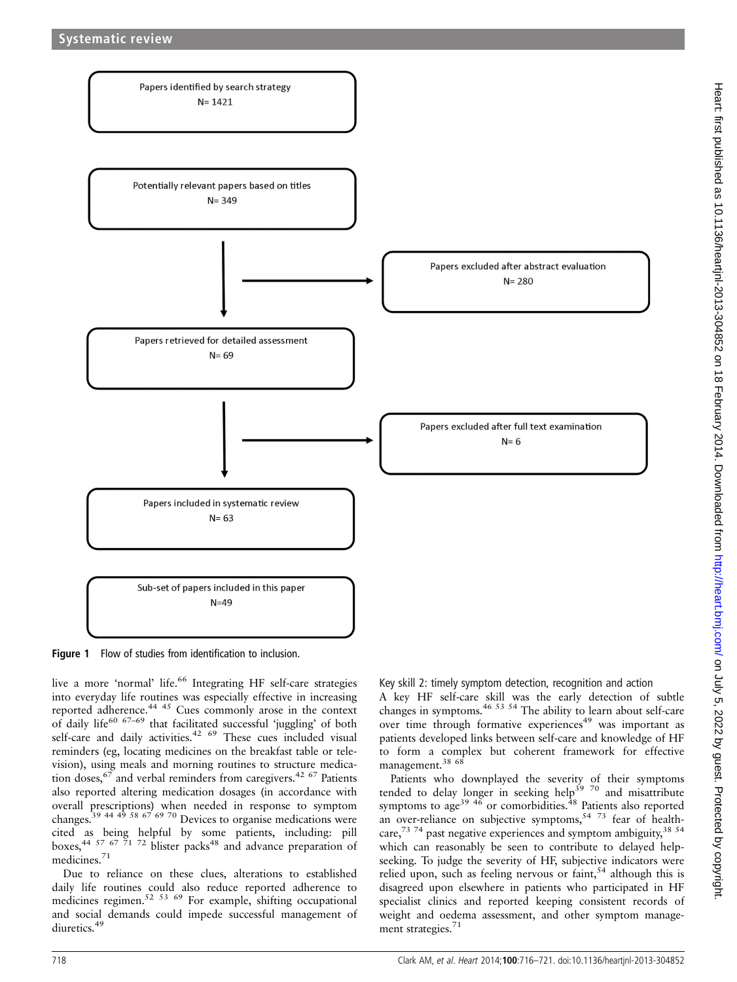

**Systematic** review

Figure 1 Flow of studies from identification to inclusion.

live a more 'normal' life.<sup>66</sup> Integrating HF self-care strategies into everyday life routines was especially effective in increasing reported adherence.<sup>44 45</sup> Cues commonly arose in the context of daily life<sup>60 67-69</sup> that facilitated successful 'juggling' of both self-care and daily activities.<sup>42 69</sup> These cues included visual reminders (eg, locating medicines on the breakfast table or television), using meals and morning routines to structure medication doses,  $67$  and verbal reminders from caregivers.<sup>42 67</sup> Patients also reported altering medication dosages (in accordance with overall prescriptions) when needed in response to symptom changes.<sup>39 44 49 58 67 69 70</sup> Devices to organise medications were cited as being helpful by some patients, including: pill boxes,<sup>44 57 67 71 72</sup> blister packs<sup>48</sup> and advance preparation of medicines.<sup>71</sup>

Due to reliance on these clues, alterations to established daily life routines could also reduce reported adherence to medicines regimen.<sup>52 53 69</sup> For example, shifting occupational and social demands could impede successful management of diuretics.<sup>49</sup>

Key skill 2: timely symptom detection, recognition and action A key HF self-care skill was the early detection of subtle changes in symptoms.<sup>46 53 54</sup> The ability to learn about self-care over time through formative experiences<sup>49</sup> was important as patients developed links between self-care and knowledge of HF to form a complex but coherent framework for effective management.<sup>38 68</sup>

Patients who downplayed the severity of their symptoms tended to delay longer in seeking help<sup>39 70</sup> and misattribute symptoms to age<sup>39 46</sup> or comorbidities.<sup>48</sup> Patients also reported an over-reliance on subjective symptoms,  $54$   $73$  fear of healthcare,<sup>73 74</sup> past negative experiences and symptom ambiguity,<sup>38 54</sup> which can reasonably be seen to contribute to delayed helpseeking. To judge the severity of HF, subjective indicators were relied upon, such as feeling nervous or faint,  $54$  although this is disagreed upon elsewhere in patients who participated in HF specialist clinics and reported keeping consistent records of weight and oedema assessment, and other symptom management strategies.<sup>71</sup>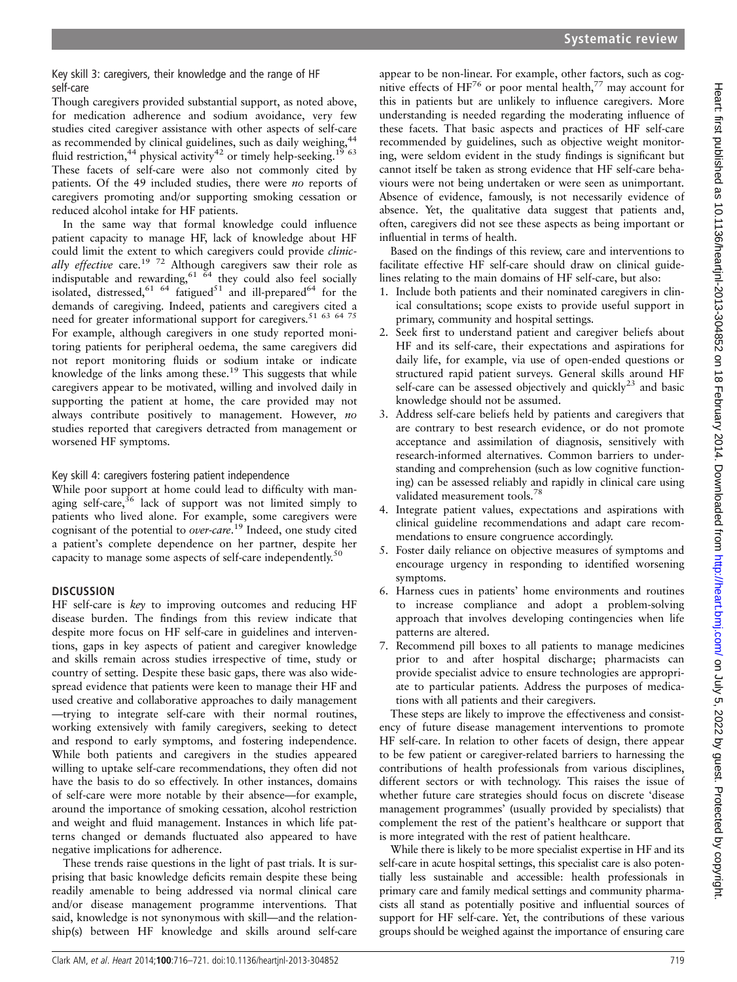Key skill 3: caregivers, their knowledge and the range of HF self-care

Though caregivers provided substantial support, as noted above, for medication adherence and sodium avoidance, very few studies cited caregiver assistance with other aspects of self-care as recommended by clinical guidelines, such as daily weighing, <sup>44</sup> fluid restriction,<sup>44</sup> physical activity<sup>42</sup> or timely help-seeking.<sup>19</sup> <sup>63</sup> These facets of self-care were also not commonly cited by patients. Of the 49 included studies, there were no reports of caregivers promoting and/or supporting smoking cessation or reduced alcohol intake for HF patients.

In the same way that formal knowledge could influence patient capacity to manage HF, lack of knowledge about HF could limit the extent to which caregivers could provide clinically effective care.<sup>19 72</sup> Although caregivers saw their role as indisputable and rewarding,  $61 \overline{64}$  they could also feel socially isolated, distressed,  $61$   $64$  fatigued<sup>51</sup> and ill-prepared<sup>64</sup> for the demands of caregiving. Indeed, patients and caregivers cited a need for greater informational support for caregivers.<sup>51 63 64 75</sup> For example, although caregivers in one study reported monitoring patients for peripheral oedema, the same caregivers did not report monitoring fluids or sodium intake or indicate knowledge of the links among these.<sup>19</sup> This suggests that while caregivers appear to be motivated, willing and involved daily in supporting the patient at home, the care provided may not always contribute positively to management. However, no studies reported that caregivers detracted from management or worsened HF symptoms.

Key skill 4: caregivers fostering patient independence

While poor support at home could lead to difficulty with managing self-care,<sup>36</sup> lack of support was not limited simply to patients who lived alone. For example, some caregivers were cognisant of the potential to over-care.<sup>19</sup> Indeed, one study cited a patient's complete dependence on her partner, despite her capacity to manage some aspects of self-care independently.<sup>50</sup>

# **DISCUSSION**

HF self-care is key to improving outcomes and reducing HF disease burden. The findings from this review indicate that despite more focus on HF self-care in guidelines and interventions, gaps in key aspects of patient and caregiver knowledge and skills remain across studies irrespective of time, study or country of setting. Despite these basic gaps, there was also widespread evidence that patients were keen to manage their HF and used creative and collaborative approaches to daily management —trying to integrate self-care with their normal routines, working extensively with family caregivers, seeking to detect and respond to early symptoms, and fostering independence. While both patients and caregivers in the studies appeared willing to uptake self-care recommendations, they often did not have the basis to do so effectively. In other instances, domains of self-care were more notable by their absence—for example, around the importance of smoking cessation, alcohol restriction and weight and fluid management. Instances in which life patterns changed or demands fluctuated also appeared to have negative implications for adherence.

These trends raise questions in the light of past trials. It is surprising that basic knowledge deficits remain despite these being readily amenable to being addressed via normal clinical care and/or disease management programme interventions. That said, knowledge is not synonymous with skill—and the relationship(s) between HF knowledge and skills around self-care

appear to be non-linear. For example, other factors, such as cognitive effects of  $HF^{76}$  or poor mental health,<sup>77</sup> may account for this in patients but are unlikely to influence caregivers. More understanding is needed regarding the moderating influence of these facets. That basic aspects and practices of HF self-care recommended by guidelines, such as objective weight monitoring, were seldom evident in the study findings is significant but cannot itself be taken as strong evidence that HF self-care behaviours were not being undertaken or were seen as unimportant. Absence of evidence, famously, is not necessarily evidence of absence. Yet, the qualitative data suggest that patients and, often, caregivers did not see these aspects as being important or influential in terms of health.

Based on the findings of this review, care and interventions to facilitate effective HF self-care should draw on clinical guidelines relating to the main domains of HF self-care, but also:

- 1. Include both patients and their nominated caregivers in clinical consultations; scope exists to provide useful support in primary, community and hospital settings.
- 2. Seek first to understand patient and caregiver beliefs about HF and its self-care, their expectations and aspirations for daily life, for example, via use of open-ended questions or structured rapid patient surveys. General skills around HF self-care can be assessed objectively and quickly<sup>23</sup> and basic knowledge should not be assumed.
- 3. Address self-care beliefs held by patients and caregivers that are contrary to best research evidence, or do not promote acceptance and assimilation of diagnosis, sensitively with research-informed alternatives. Common barriers to understanding and comprehension (such as low cognitive functioning) can be assessed reliably and rapidly in clinical care using validated measurement tools.<sup>78</sup>
- 4. Integrate patient values, expectations and aspirations with clinical guideline recommendations and adapt care recommendations to ensure congruence accordingly.
- 5. Foster daily reliance on objective measures of symptoms and encourage urgency in responding to identified worsening symptoms.
- 6. Harness cues in patients' home environments and routines to increase compliance and adopt a problem-solving approach that involves developing contingencies when life patterns are altered.
- 7. Recommend pill boxes to all patients to manage medicines prior to and after hospital discharge; pharmacists can provide specialist advice to ensure technologies are appropriate to particular patients. Address the purposes of medications with all patients and their caregivers.

These steps are likely to improve the effectiveness and consistency of future disease management interventions to promote HF self-care. In relation to other facets of design, there appear to be few patient or caregiver-related barriers to harnessing the contributions of health professionals from various disciplines, different sectors or with technology. This raises the issue of whether future care strategies should focus on discrete 'disease management programmes' (usually provided by specialists) that complement the rest of the patient's healthcare or support that is more integrated with the rest of patient healthcare.

While there is likely to be more specialist expertise in HF and its self-care in acute hospital settings, this specialist care is also potentially less sustainable and accessible: health professionals in primary care and family medical settings and community pharmacists all stand as potentially positive and influential sources of support for HF self-care. Yet, the contributions of these various groups should be weighed against the importance of ensuring care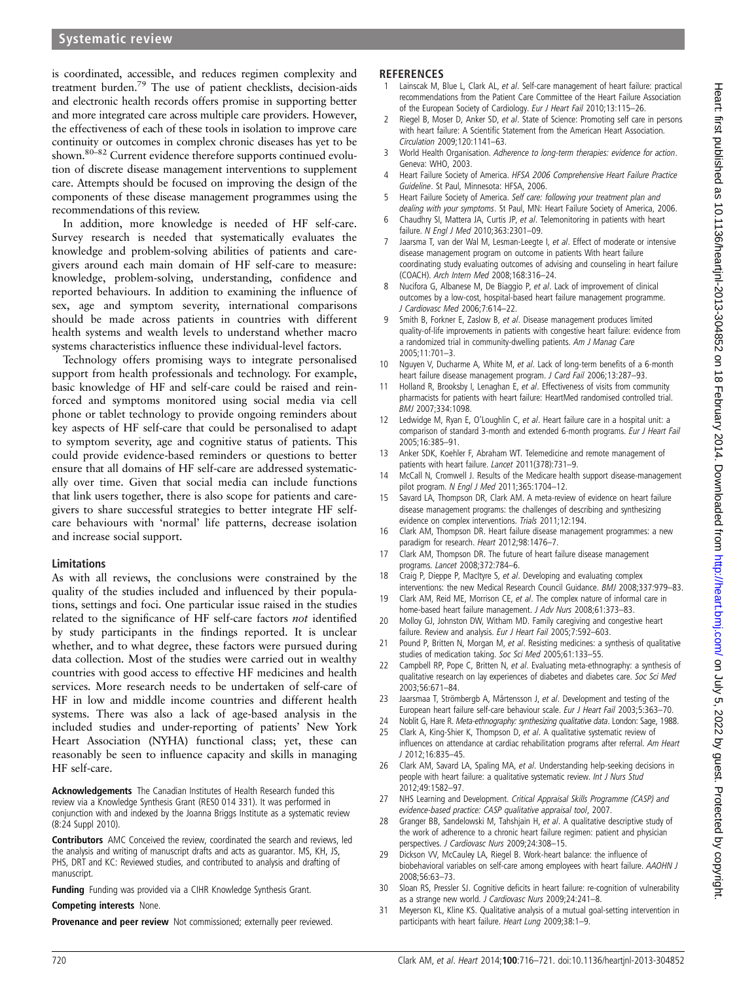is coordinated, accessible, and reduces regimen complexity and treatment burden.79 The use of patient checklists, decision-aids and electronic health records offers promise in supporting better and more integrated care across multiple care providers. However, the effectiveness of each of these tools in isolation to improve care continuity or outcomes in complex chronic diseases has yet to be shown.<sup>80-82</sup> Current evidence therefore supports continued evolution of discrete disease management interventions to supplement care. Attempts should be focused on improving the design of the components of these disease management programmes using the recommendations of this review.

In addition, more knowledge is needed of HF self-care. Survey research is needed that systematically evaluates the knowledge and problem-solving abilities of patients and caregivers around each main domain of HF self-care to measure: knowledge, problem-solving, understanding, confidence and reported behaviours. In addition to examining the influence of sex, age and symptom severity, international comparisons should be made across patients in countries with different health systems and wealth levels to understand whether macro systems characteristics influence these individual-level factors.

Technology offers promising ways to integrate personalised support from health professionals and technology. For example, basic knowledge of HF and self-care could be raised and reinforced and symptoms monitored using social media via cell phone or tablet technology to provide ongoing reminders about key aspects of HF self-care that could be personalised to adapt to symptom severity, age and cognitive status of patients. This could provide evidence-based reminders or questions to better ensure that all domains of HF self-care are addressed systematically over time. Given that social media can include functions that link users together, there is also scope for patients and caregivers to share successful strategies to better integrate HF selfcare behaviours with 'normal' life patterns, decrease isolation and increase social support.

#### Limitations

As with all reviews, the conclusions were constrained by the quality of the studies included and influenced by their populations, settings and foci. One particular issue raised in the studies related to the significance of HF self-care factors not identified by study participants in the findings reported. It is unclear whether, and to what degree, these factors were pursued during data collection. Most of the studies were carried out in wealthy countries with good access to effective HF medicines and health services. More research needs to be undertaken of self-care of HF in low and middle income countries and different health systems. There was also a lack of age-based analysis in the included studies and under-reporting of patients' New York Heart Association (NYHA) functional class; yet, these can reasonably be seen to influence capacity and skills in managing HF self-care.

Acknowledgements The Canadian Institutes of Health Research funded this review via a Knowledge Synthesis Grant (RES0 014 331). It was performed in conjunction with and indexed by the Joanna Briggs Institute as a systematic review (8:24 Suppl 2010).

Contributors AMC Conceived the review, coordinated the search and reviews, led the analysis and writing of manuscript drafts and acts as guarantor. MS, KH, JS, PHS, DRT and KC: Reviewed studies, and contributed to analysis and drafting of manuscript.

Funding Funding was provided via a CIHR Knowledge Synthesis Grant.

#### Competing interests None.

Provenance and peer review Not commissioned; externally peer reviewed.

#### **REFERENCES**

- Lainscak M, Blue L, Clark AL, et al. Self-care management of heart failure: practical recommendations from the Patient Care Committee of the Heart Failure Association of the European Society of Cardiology. Eur J Heart Fail 2010;13:115–26.
- 2 Riegel B, Moser D, Anker SD, et al. State of Science: Promoting self care in persons with heart failure: A Scientific Statement from the American Heart Association. Circulation 2009;120:1141–63.
- World Health Organisation. Adherence to long-term therapies: evidence for action. Geneva: WHO, 2003.
- 4 Heart Failure Society of America. HFSA 2006 Comprehensive Heart Failure Practice Guideline. St Paul, Minnesota: HFSA, 2006.
- 5 Heart Failure Society of America. Self care: following your treatment plan and dealing with your symptoms. St Paul, MN: Heart Failure Society of America, 2006.
- 6 Chaudhry SI, Mattera JA, Curtis JP, et al. Telemonitoring in patients with heart failure. N Engl J Med 2010;363:2301–09.
- Jaarsma T, van der Wal M, Lesman-Leegte I, et al. Effect of moderate or intensive disease management program on outcome in patients With heart failure coordinating study evaluating outcomes of advising and counseling in heart failure (COACH). Arch Intern Med 2008;168:316–24.
- 8 Nucifora G, Albanese M, De Biaggio P, et al. Lack of improvement of clinical outcomes by a low-cost, hospital-based heart failure management programme. J Cardiovasc Med 2006;7:614–22.
- Smith B, Forkner E, Zaslow B, et al. Disease management produces limited quality-of-life improvements in patients with congestive heart failure: evidence from a randomized trial in community-dwelling patients. Am J Manag Care 2005;11:701–3.
- 10 Nguyen V, Ducharme A, White M, et al. Lack of long-term benefits of a 6-month heart failure disease management program. J Card Fail 2006;13:287-93.
- 11 Holland R, Brooksby I, Lenaghan E, et al. Effectiveness of visits from community pharmacists for patients with heart failure: HeartMed randomised controlled trial. BMJ 2007;334:1098.
- 12 Ledwidge M, Ryan E, O'Loughlin C, et al. Heart failure care in a hospital unit: a comparison of standard 3-month and extended 6-month programs. Eur J Heart Fail 2005;16:385–91.
- 13 Anker SDK, Koehler F, Abraham WT. Telemedicine and remote management of patients with heart failure. Lancet 2011(378):731–9.
- 14 McCall N, Cromwell J. Results of the Medicare health support disease-management pilot program. N Engl J Med 2011;365:1704–12.
- 15 Savard LA, Thompson DR, Clark AM. A meta-review of evidence on heart failure disease management programs: the challenges of describing and synthesizing evidence on complex interventions. Trials 2011;12:194.
- 16 Clark AM, Thompson DR. Heart failure disease management programmes: a new paradigm for research. Heart 2012;98:1476–7.
- 17 Clark AM, Thompson DR. The future of heart failure disease management programs. Lancet 2008;372:784–6.
- 18 Craig P, Dieppe P, MacItyre S, et al. Developing and evaluating complex interventions: the new Medical Research Council Guidance. BMJ 2008;337:979–83.
- 19 Clark AM, Reid ME, Morrison CE, et al. The complex nature of informal care in home-based heart failure management. J Adv Nurs 2008;61:373–83.
- 20 Molloy GJ, Johnston DW, Witham MD. Family caregiving and congestive heart failure. Review and analysis. Eur J Heart Fail 2005;7:592-603.
- 21 Pound P, Britten N, Morgan M, et al. Resisting medicines: a synthesis of qualitative studies of medication taking. Soc Sci Med 2005;61:133–55.
- 22 Campbell RP, Pope C, Britten N, et al. Evaluating meta-ethnography: a synthesis of qualitative research on lay experiences of diabetes and diabetes care. Soc Sci Med 2003;56:671–84.
- 23 Jaarsmaa T, Strömbergb A, Mårtensson J, et al. Development and testing of the European heart failure self-care behaviour scale. Eur J Heart Fail 2003;5:363–70.
- 24 Noblit G, Hare R, Meta-ethnography: synthesizing qualitative data, London: Sage, 1988.
- 25 Clark A, King-Shier K, Thompson D, et al. A qualitative systematic review of influences on attendance at cardiac rehabilitation programs after referral. Am Heart J 2012;16:835–45.
- 26 Clark AM, Savard LA, Spaling MA, et al. Understanding help-seeking decisions in people with heart failure: a qualitative systematic review. Int J Nurs Stud 2012;49:1582–97.
- 27 NHS Learning and Development. Critical Appraisal Skills Programme (CASP) and evidence-based practice: CASP qualitative appraisal tool, 2007.
- 28 Granger BB, Sandelowski M, Tahshjain H, et al. A qualitative descriptive study of the work of adherence to a chronic heart failure regimen: patient and physician perspectives. J Cardiovasc Nurs 2009;24:308–15.
- 29 Dickson VV, McCauley LA, Riegel B. Work-heart balance: the influence of biobehavioral variables on self-care among employees with heart failure. AAOHN J 2008;56:63–73.
- 30 Sloan RS, Pressler SJ. Cognitive deficits in heart failure: re-cognition of vulnerability as a strange new world. J Cardiovasc Nurs 2009;24:241–8.
- 31 Meyerson KL, Kline KS. Qualitative analysis of a mutual goal-setting intervention in participants with heart failure. Heart Lung 2009;38:1–9.